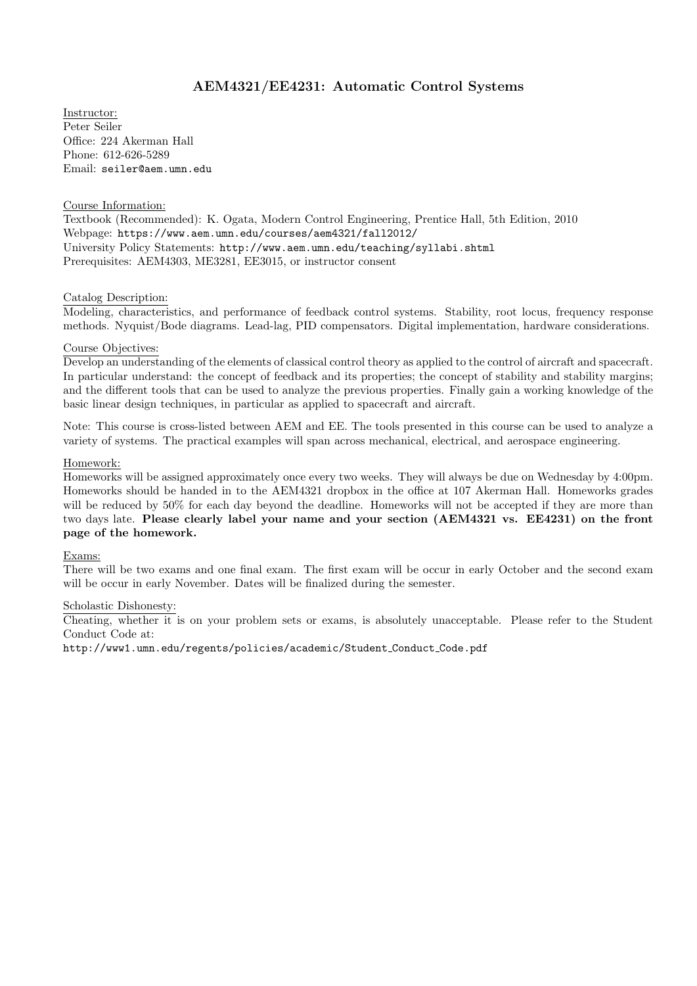# AEM4321/EE4231: Automatic Control Systems

Instructor: Peter Seiler Office: 224 Akerman Hall Phone: 612-626-5289 Email: seiler@aem.umn.edu

## Course Information:

Textbook (Recommended): K. Ogata, Modern Control Engineering, Prentice Hall, 5th Edition, 2010 Webpage: https://www.aem.umn.edu/courses/aem4321/fall2012/ University Policy Statements: http://www.aem.umn.edu/teaching/syllabi.shtml Prerequisites: AEM4303, ME3281, EE3015, or instructor consent

## Catalog Description:

Modeling, characteristics, and performance of feedback control systems. Stability, root locus, frequency response methods. Nyquist/Bode diagrams. Lead-lag, PID compensators. Digital implementation, hardware considerations.

## Course Objectives:

Develop an understanding of the elements of classical control theory as applied to the control of aircraft and spacecraft. In particular understand: the concept of feedback and its properties; the concept of stability and stability margins; and the different tools that can be used to analyze the previous properties. Finally gain a working knowledge of the basic linear design techniques, in particular as applied to spacecraft and aircraft.

Note: This course is cross-listed between AEM and EE. The tools presented in this course can be used to analyze a variety of systems. The practical examples will span across mechanical, electrical, and aerospace engineering.

## Homework:

Homeworks will be assigned approximately once every two weeks. They will always be due on Wednesday by 4:00pm. Homeworks should be handed in to the AEM4321 dropbox in the office at 107 Akerman Hall. Homeworks grades will be reduced by 50% for each day beyond the deadline. Homeworks will not be accepted if they are more than two days late. Please clearly label your name and your section (AEM4321 vs. EE4231) on the front page of the homework.

#### Exams:

There will be two exams and one final exam. The first exam will be occur in early October and the second exam will be occur in early November. Dates will be finalized during the semester.

#### Scholastic Dishonesty:

Cheating, whether it is on your problem sets or exams, is absolutely unacceptable. Please refer to the Student Conduct Code at:

http://www1.umn.edu/regents/policies/academic/Student\_Conduct\_Code.pdf